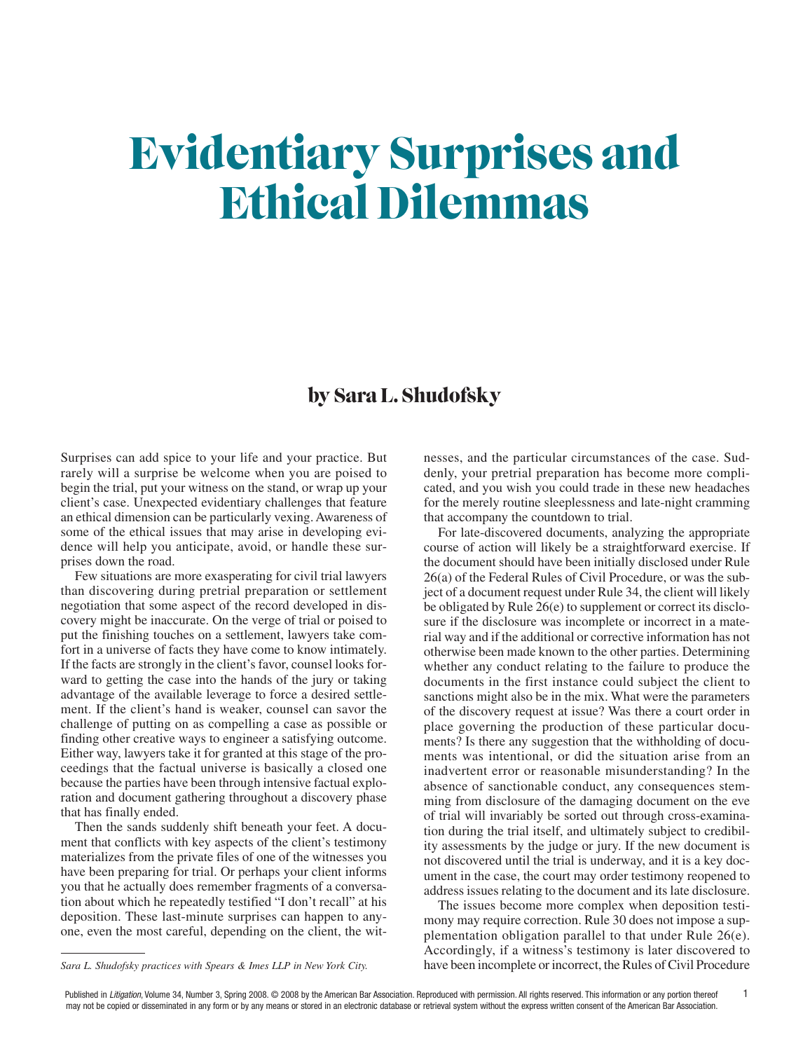## Evidentiary Surprises and Ethical Dilemmas

## by Sara L. Shudofsky

Surprises can add spice to your life and your practice. But rarely will a surprise be welcome when you are poised to begin the trial, put your witness on the stand, or wrap up your client's case. Unexpected evidentiary challenges that feature an ethical dimension can be particularly vexing.Awareness of some of the ethical issues that may arise in developing evidence will help you anticipate, avoid, or handle these surprises down the road.

Few situations are more exasperating for civil trial lawyers than discovering during pretrial preparation or settlement negotiation that some aspect of the record developed in discovery might be inaccurate. On the verge of trial or poised to put the finishing touches on a settlement, lawyers take comfort in a universe of facts they have come to know intimately. If the facts are strongly in the client's favor, counsel looks forward to getting the case into the hands of the jury or taking advantage of the available leverage to force a desired settlement. If the client's hand is weaker, counsel can savor the challenge of putting on as compelling a case as possible or finding other creative ways to engineer a satisfying outcome. Either way, lawyers take it for granted at this stage of the proceedings that the factual universe is basically a closed one because the parties have been through intensive factual exploration and document gathering throughout a discovery phase that has finally ended.

Then the sands suddenly shift beneath your feet. A document that conflicts with key aspects of the client's testimony materializes from the private files of one of the witnesses you have been preparing for trial. Or perhaps your client informs you that he actually does remember fragments of a conversation about which he repeatedly testified "I don't recall" at his deposition. These last-minute surprises can happen to anyone, even the most careful, depending on the client, the witnesses, and the particular circumstances of the case. Suddenly, your pretrial preparation has become more complicated, and you wish you could trade in these new headaches for the merely routine sleeplessness and late-night cramming that accompany the countdown to trial.

For late-discovered documents, analyzing the appropriate course of action will likely be a straightforward exercise. If the document should have been initially disclosed under Rule 26(a) of the Federal Rules of Civil Procedure, or was the subject of a document request under Rule 34, the client will likely be obligated by Rule 26(e) to supplement or correct its disclosure if the disclosure was incomplete or incorrect in a material way and if the additional or corrective information has not otherwise been made known to the other parties. Determining whether any conduct relating to the failure to produce the documents in the first instance could subject the client to sanctions might also be in the mix. What were the parameters of the discovery request at issue? Was there a court order in place governing the production of these particular documents? Is there any suggestion that the withholding of documents was intentional, or did the situation arise from an inadvertent error or reasonable misunderstanding? In the absence of sanctionable conduct, any consequences stemming from disclosure of the damaging document on the eve of trial will invariably be sorted out through cross-examination during the trial itself, and ultimately subject to credibility assessments by the judge or jury. If the new document is not discovered until the trial is underway, and it is a key document in the case, the court may order testimony reopened to address issues relating to the document and its late disclosure.

The issues become more complex when deposition testimony may require correction. Rule 30 does not impose a supplementation obligation parallel to that under Rule 26(e). Accordingly, if a witness's testimony is later discovered to have been incomplete or incorrect, the Rules of Civil Procedure

*Sara L. Shudofsky practices with Spears & Imes LLP in New York City.*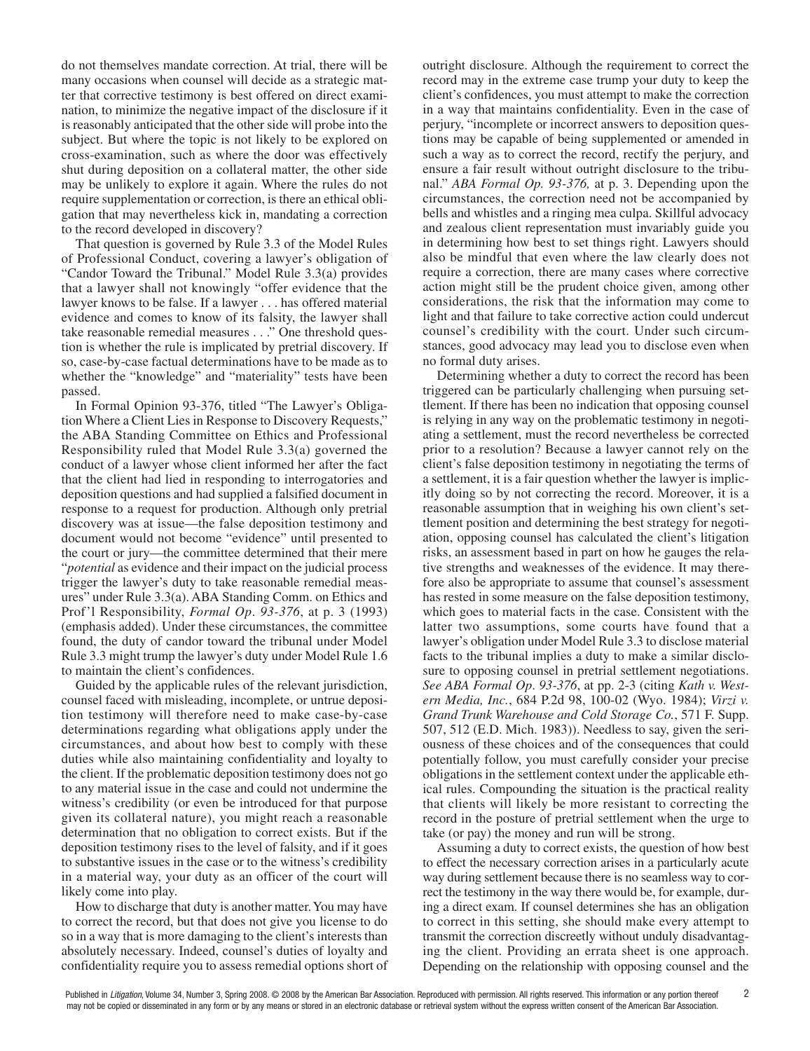do not themselves mandate correction. At trial, there will be many occasions when counsel will decide as a strategic matter that corrective testimony is best offered on direct examination, to minimize the negative impact of the disclosure if it is reasonably anticipated that the other side will probe into the subject. But where the topic is not likely to be explored on cross-examination, such as where the door was effectively shut during deposition on a collateral matter, the other side may be unlikely to explore it again. Where the rules do not require supplementation or correction, is there an ethical obligation that may nevertheless kick in, mandating a correction to the record developed in discovery?

That question is governed by Rule 3.3 of the Model Rules of Professional Conduct, covering a lawyer's obligation of "Candor Toward the Tribunal." Model Rule 3.3(a) provides that a lawyer shall not knowingly "offer evidence that the lawyer knows to be false. If a lawyer . . . has offered material evidence and comes to know of its falsity, the lawyer shall take reasonable remedial measures . . ." One threshold question is whether the rule is implicated by pretrial discovery. If so, case-by-case factual determinations have to be made as to whether the "knowledge" and "materiality" tests have been passed.

In Formal Opinion 93-376, titled "The Lawyer's Obligation Where a Client Lies in Response to Discovery Requests," the ABA Standing Committee on Ethics and Professional Responsibility ruled that Model Rule 3.3(a) governed the conduct of a lawyer whose client informed her after the fact that the client had lied in responding to interrogatories and deposition questions and had supplied a falsified document in response to a request for production. Although only pretrial discovery was at issue—the false deposition testimony and document would not become "evidence" until presented to the court or jury—the committee determined that their mere "*potential* as evidence and their impact on the judicial process trigger the lawyer's duty to take reasonable remedial measures" under Rule 3.3(a). ABA Standing Comm. on Ethics and Prof'l Responsibility, *Formal Op*. *93-376*, at p. 3 (1993) (emphasis added). Under these circumstances, the committee found, the duty of candor toward the tribunal under Model Rule 3.3 might trump the lawyer's duty under Model Rule 1.6 to maintain the client's confidences.

Guided by the applicable rules of the relevant jurisdiction, counsel faced with misleading, incomplete, or untrue deposition testimony will therefore need to make case-by-case determinations regarding what obligations apply under the circumstances, and about how best to comply with these duties while also maintaining confidentiality and loyalty to the client. If the problematic deposition testimony does not go to any material issue in the case and could not undermine the witness's credibility (or even be introduced for that purpose given its collateral nature), you might reach a reasonable determination that no obligation to correct exists. But if the deposition testimony rises to the level of falsity, and if it goes to substantive issues in the case or to the witness's credibility in a material way, your duty as an officer of the court will likely come into play.

How to discharge that duty is another matter.You may have to correct the record, but that does not give you license to do so in a way that is more damaging to the client's interests than absolutely necessary. Indeed, counsel's duties of loyalty and confidentiality require you to assess remedial options short of outright disclosure. Although the requirement to correct the record may in the extreme case trump your duty to keep the client's confidences, you must attempt to make the correction in a way that maintains confidentiality. Even in the case of perjury, "incomplete or incorrect answers to deposition questions may be capable of being supplemented or amended in such a way as to correct the record, rectify the perjury, and ensure a fair result without outright disclosure to the tribunal." *ABA Formal Op. 93-376,* at p. 3. Depending upon the circumstances, the correction need not be accompanied by bells and whistles and a ringing mea culpa. Skillful advocacy and zealous client representation must invariably guide you in determining how best to set things right. Lawyers should also be mindful that even where the law clearly does not require a correction, there are many cases where corrective action might still be the prudent choice given, among other considerations, the risk that the information may come to light and that failure to take corrective action could undercut counsel's credibility with the court. Under such circumstances, good advocacy may lead you to disclose even when no formal duty arises.

Determining whether a duty to correct the record has been triggered can be particularly challenging when pursuing settlement. If there has been no indication that opposing counsel is relying in any way on the problematic testimony in negotiating a settlement, must the record nevertheless be corrected prior to a resolution? Because a lawyer cannot rely on the client's false deposition testimony in negotiating the terms of a settlement, it is a fair question whether the lawyer is implicitly doing so by not correcting the record. Moreover, it is a reasonable assumption that in weighing his own client's settlement position and determining the best strategy for negotiation, opposing counsel has calculated the client's litigation risks, an assessment based in part on how he gauges the relative strengths and weaknesses of the evidence. It may therefore also be appropriate to assume that counsel's assessment has rested in some measure on the false deposition testimony, which goes to material facts in the case. Consistent with the latter two assumptions, some courts have found that a lawyer's obligation under Model Rule 3.3 to disclose material facts to the tribunal implies a duty to make a similar disclosure to opposing counsel in pretrial settlement negotiations. *See ABA Formal Op*. *93-376*, at pp. 2-3 (citing *Kath v. Western Media, Inc.*, 684 P.2d 98, 100-02 (Wyo. 1984); *Virzi v. Grand Trunk Warehouse and Cold Storage Co.*, 571 F. Supp. 507, 512 (E.D. Mich. 1983)). Needless to say, given the seriousness of these choices and of the consequences that could potentially follow, you must carefully consider your precise obligations in the settlement context under the applicable ethical rules. Compounding the situation is the practical reality that clients will likely be more resistant to correcting the record in the posture of pretrial settlement when the urge to take (or pay) the money and run will be strong.

Assuming a duty to correct exists, the question of how best to effect the necessary correction arises in a particularly acute way during settlement because there is no seamless way to correct the testimony in the way there would be, for example, during a direct exam. If counsel determines she has an obligation to correct in this setting, she should make every attempt to transmit the correction discreetly without unduly disadvantaging the client. Providing an errata sheet is one approach. Depending on the relationship with opposing counsel and the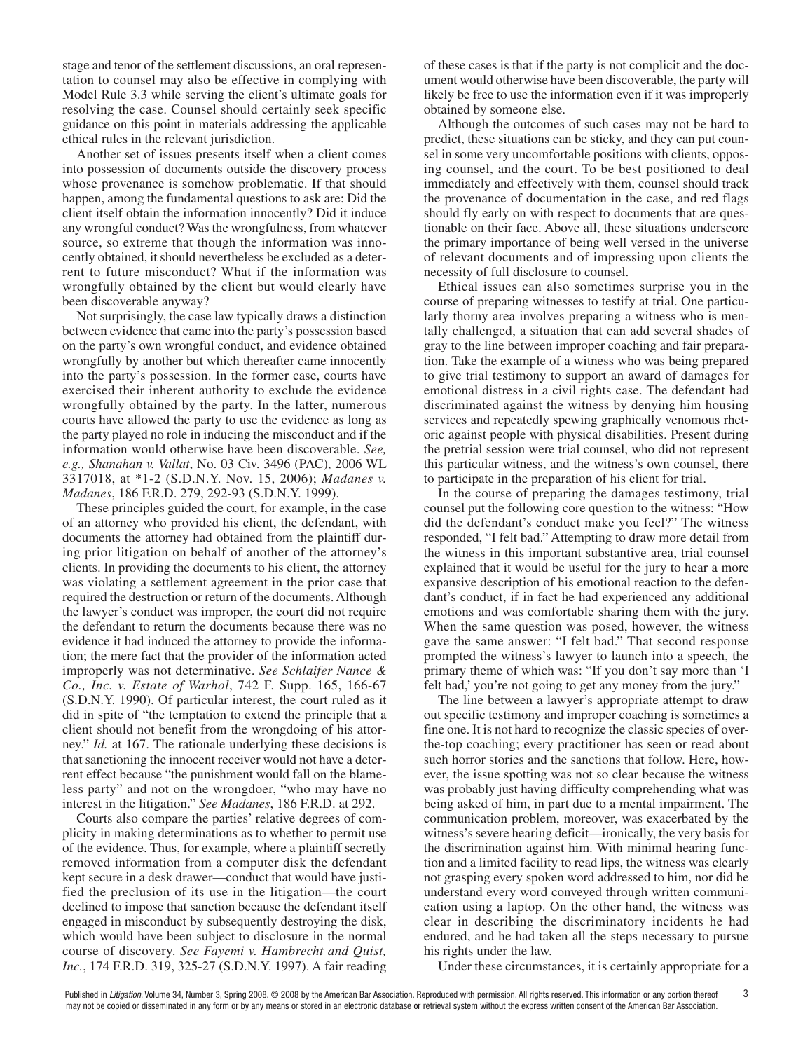stage and tenor of the settlement discussions, an oral representation to counsel may also be effective in complying with Model Rule 3.3 while serving the client's ultimate goals for resolving the case. Counsel should certainly seek specific guidance on this point in materials addressing the applicable ethical rules in the relevant jurisdiction.

Another set of issues presents itself when a client comes into possession of documents outside the discovery process whose provenance is somehow problematic. If that should happen, among the fundamental questions to ask are: Did the client itself obtain the information innocently? Did it induce any wrongful conduct? Was the wrongfulness, from whatever source, so extreme that though the information was innocently obtained, it should nevertheless be excluded as a deterrent to future misconduct? What if the information was wrongfully obtained by the client but would clearly have been discoverable anyway?

Not surprisingly, the case law typically draws a distinction between evidence that came into the party's possession based on the party's own wrongful conduct, and evidence obtained wrongfully by another but which thereafter came innocently into the party's possession. In the former case, courts have exercised their inherent authority to exclude the evidence wrongfully obtained by the party. In the latter, numerous courts have allowed the party to use the evidence as long as the party played no role in inducing the misconduct and if the information would otherwise have been discoverable. *See, e.g., Shanahan v. Vallat*, No. 03 Civ. 3496 (PAC), 2006 WL 3317018, at \*1-2 (S.D.N.Y. Nov. 15, 2006); *Madanes v. Madanes*, 186 F.R.D. 279, 292-93 (S.D.N.Y. 1999).

These principles guided the court, for example, in the case of an attorney who provided his client, the defendant, with documents the attorney had obtained from the plaintiff during prior litigation on behalf of another of the attorney's clients. In providing the documents to his client, the attorney was violating a settlement agreement in the prior case that required the destruction or return of the documents.Although the lawyer's conduct was improper, the court did not require the defendant to return the documents because there was no evidence it had induced the attorney to provide the information; the mere fact that the provider of the information acted improperly was not determinative. *See Schlaifer Nance & Co., Inc. v. Estate of Warhol*, 742 F. Supp. 165, 166-67 (S.D.N.Y. 1990). Of particular interest, the court ruled as it did in spite of "the temptation to extend the principle that a client should not benefit from the wrongdoing of his attorney." *Id.* at 167. The rationale underlying these decisions is that sanctioning the innocent receiver would not have a deterrent effect because "the punishment would fall on the blameless party" and not on the wrongdoer, "who may have no interest in the litigation." *See Madanes*, 186 F.R.D. at 292.

Courts also compare the parties' relative degrees of complicity in making determinations as to whether to permit use of the evidence. Thus, for example, where a plaintiff secretly removed information from a computer disk the defendant kept secure in a desk drawer—conduct that would have justified the preclusion of its use in the litigation—the court declined to impose that sanction because the defendant itself engaged in misconduct by subsequently destroying the disk, which would have been subject to disclosure in the normal course of discovery. *See Fayemi v. Hambrecht and Quist, Inc.*, 174 F.R.D. 319, 325-27 (S.D.N.Y. 1997). A fair reading

of these cases is that if the party is not complicit and the document would otherwise have been discoverable, the party will likely be free to use the information even if it was improperly obtained by someone else.

Although the outcomes of such cases may not be hard to predict, these situations can be sticky, and they can put counsel in some very uncomfortable positions with clients, opposing counsel, and the court. To be best positioned to deal immediately and effectively with them, counsel should track the provenance of documentation in the case, and red flags should fly early on with respect to documents that are questionable on their face. Above all, these situations underscore the primary importance of being well versed in the universe of relevant documents and of impressing upon clients the necessity of full disclosure to counsel.

Ethical issues can also sometimes surprise you in the course of preparing witnesses to testify at trial. One particularly thorny area involves preparing a witness who is mentally challenged, a situation that can add several shades of gray to the line between improper coaching and fair preparation. Take the example of a witness who was being prepared to give trial testimony to support an award of damages for emotional distress in a civil rights case. The defendant had discriminated against the witness by denying him housing services and repeatedly spewing graphically venomous rhetoric against people with physical disabilities. Present during the pretrial session were trial counsel, who did not represent this particular witness, and the witness's own counsel, there to participate in the preparation of his client for trial.

In the course of preparing the damages testimony, trial counsel put the following core question to the witness: "How did the defendant's conduct make you feel?" The witness responded, "I felt bad." Attempting to draw more detail from the witness in this important substantive area, trial counsel explained that it would be useful for the jury to hear a more expansive description of his emotional reaction to the defendant's conduct, if in fact he had experienced any additional emotions and was comfortable sharing them with the jury. When the same question was posed, however, the witness gave the same answer: "I felt bad." That second response prompted the witness's lawyer to launch into a speech, the primary theme of which was: "If you don't say more than 'I felt bad,' you're not going to get any money from the jury."

The line between a lawyer's appropriate attempt to draw out specific testimony and improper coaching is sometimes a fine one. It is not hard to recognize the classic species of overthe-top coaching; every practitioner has seen or read about such horror stories and the sanctions that follow. Here, however, the issue spotting was not so clear because the witness was probably just having difficulty comprehending what was being asked of him, in part due to a mental impairment. The communication problem, moreover, was exacerbated by the witness's severe hearing deficit—ironically, the very basis for the discrimination against him. With minimal hearing function and a limited facility to read lips, the witness was clearly not grasping every spoken word addressed to him, nor did he understand every word conveyed through written communication using a laptop. On the other hand, the witness was clear in describing the discriminatory incidents he had endured, and he had taken all the steps necessary to pursue his rights under the law.

Under these circumstances, it is certainly appropriate for a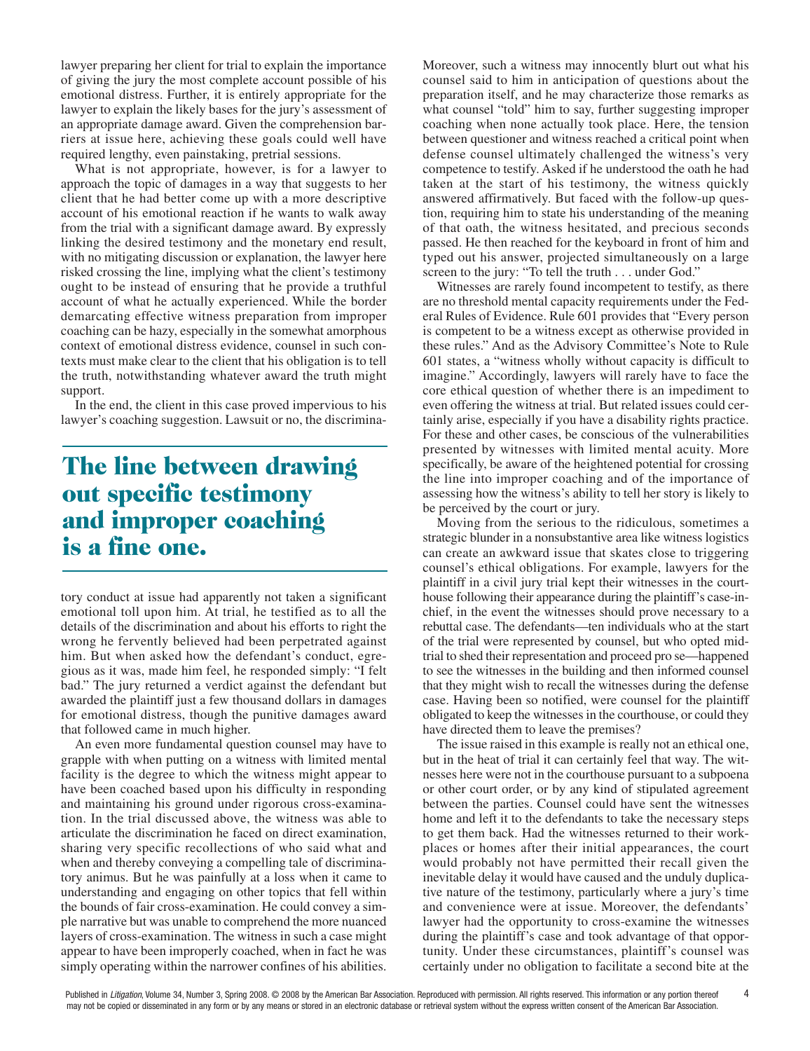lawyer preparing her client for trial to explain the importance of giving the jury the most complete account possible of his emotional distress. Further, it is entirely appropriate for the lawyer to explain the likely bases for the jury's assessment of an appropriate damage award. Given the comprehension barriers at issue here, achieving these goals could well have required lengthy, even painstaking, pretrial sessions.

What is not appropriate, however, is for a lawyer to approach the topic of damages in a way that suggests to her client that he had better come up with a more descriptive account of his emotional reaction if he wants to walk away from the trial with a significant damage award. By expressly linking the desired testimony and the monetary end result, with no mitigating discussion or explanation, the lawyer here risked crossing the line, implying what the client's testimony ought to be instead of ensuring that he provide a truthful account of what he actually experienced. While the border demarcating effective witness preparation from improper coaching can be hazy, especially in the somewhat amorphous context of emotional distress evidence, counsel in such contexts must make clear to the client that his obligation is to tell the truth, notwithstanding whatever award the truth might support.

In the end, the client in this case proved impervious to his lawyer's coaching suggestion. Lawsuit or no, the discrimina-

## The line between drawing out specific testimony and improper coaching is a fine one.

tory conduct at issue had apparently not taken a significant emotional toll upon him. At trial, he testified as to all the details of the discrimination and about his efforts to right the wrong he fervently believed had been perpetrated against him. But when asked how the defendant's conduct, egregious as it was, made him feel, he responded simply: "I felt bad." The jury returned a verdict against the defendant but awarded the plaintiff just a few thousand dollars in damages for emotional distress, though the punitive damages award that followed came in much higher.

An even more fundamental question counsel may have to grapple with when putting on a witness with limited mental facility is the degree to which the witness might appear to have been coached based upon his difficulty in responding and maintaining his ground under rigorous cross-examination. In the trial discussed above, the witness was able to articulate the discrimination he faced on direct examination, sharing very specific recollections of who said what and when and thereby conveying a compelling tale of discriminatory animus. But he was painfully at a loss when it came to understanding and engaging on other topics that fell within the bounds of fair cross-examination. He could convey a simple narrative but was unable to comprehend the more nuanced layers of cross-examination. The witness in such a case might appear to have been improperly coached, when in fact he was simply operating within the narrower confines of his abilities.

Moreover, such a witness may innocently blurt out what his counsel said to him in anticipation of questions about the preparation itself, and he may characterize those remarks as what counsel "told" him to say, further suggesting improper coaching when none actually took place. Here, the tension between questioner and witness reached a critical point when defense counsel ultimately challenged the witness's very competence to testify. Asked if he understood the oath he had taken at the start of his testimony, the witness quickly answered affirmatively. But faced with the follow-up question, requiring him to state his understanding of the meaning of that oath, the witness hesitated, and precious seconds passed. He then reached for the keyboard in front of him and typed out his answer, projected simultaneously on a large screen to the jury: "To tell the truth . . . under God."

Witnesses are rarely found incompetent to testify, as there are no threshold mental capacity requirements under the Federal Rules of Evidence. Rule 601 provides that "Every person is competent to be a witness except as otherwise provided in these rules." And as the Advisory Committee's Note to Rule 601 states, a "witness wholly without capacity is difficult to imagine." Accordingly, lawyers will rarely have to face the core ethical question of whether there is an impediment to even offering the witness at trial. But related issues could certainly arise, especially if you have a disability rights practice. For these and other cases, be conscious of the vulnerabilities presented by witnesses with limited mental acuity. More specifically, be aware of the heightened potential for crossing the line into improper coaching and of the importance of assessing how the witness's ability to tell her story is likely to be perceived by the court or jury.

Moving from the serious to the ridiculous, sometimes a strategic blunder in a nonsubstantive area like witness logistics can create an awkward issue that skates close to triggering counsel's ethical obligations. For example, lawyers for the plaintiff in a civil jury trial kept their witnesses in the courthouse following their appearance during the plaintiff's case-inchief, in the event the witnesses should prove necessary to a rebuttal case. The defendants—ten individuals who at the start of the trial were represented by counsel, but who opted midtrial to shed their representation and proceed pro se—happened to see the witnesses in the building and then informed counsel that they might wish to recall the witnesses during the defense case. Having been so notified, were counsel for the plaintiff obligated to keep the witnessesin the courthouse, or could they have directed them to leave the premises?

The issue raised in this example is really not an ethical one, but in the heat of trial it can certainly feel that way. The witnesses here were not in the courthouse pursuant to a subpoena or other court order, or by any kind of stipulated agreement between the parties. Counsel could have sent the witnesses home and left it to the defendants to take the necessary steps to get them back. Had the witnesses returned to their workplaces or homes after their initial appearances, the court would probably not have permitted their recall given the inevitable delay it would have caused and the unduly duplicative nature of the testimony, particularly where a jury's time and convenience were at issue. Moreover, the defendants' lawyer had the opportunity to cross-examine the witnesses during the plaintiff's case and took advantage of that opportunity. Under these circumstances, plaintiff's counsel was certainly under no obligation to facilitate a second bite at the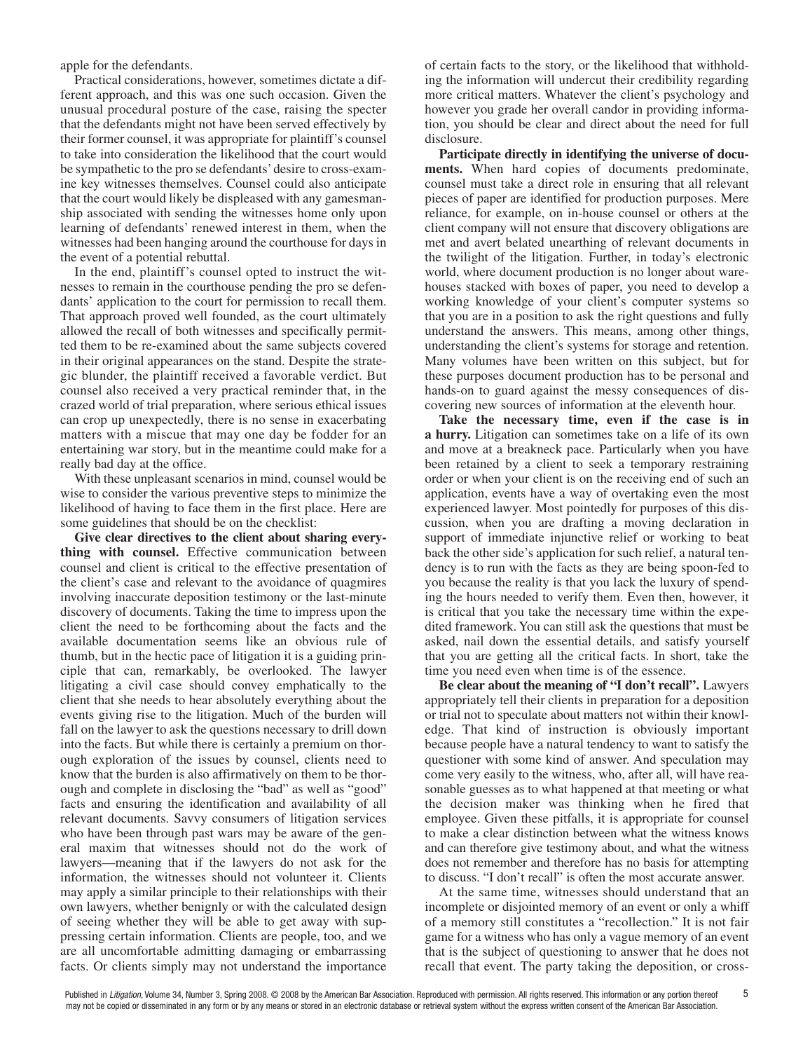apple for the defendants.

Practical considerations, however, sometimes dictate a different approach, and this was one such occasion. Given the unusual procedural posture of the case, raising the specter that the defendants might not have been served effectively by their former counsel, it was appropriate for plaintiff's counsel to take into consideration the likelihood that the court would be sympathetic to the pro se defendants'desire to cross-examine key witnesses themselves. Counsel could also anticipate that the court would likely be displeased with any gamesmanship associated with sending the witnesses home only upon learning of defendants' renewed interest in them, when the witnesses had been hanging around the courthouse for days in the event of a potential rebuttal.

In the end, plaintiff's counsel opted to instruct the witnesses to remain in the courthouse pending the pro se defendants' application to the court for permission to recall them. That approach proved well founded, as the court ultimately allowed the recall of both witnesses and specifically permitted them to be re-examined about the same subjects covered in their original appearances on the stand. Despite the strategic blunder, the plaintiff received a favorable verdict. But counsel also received a very practical reminder that, in the crazed world of trial preparation, where serious ethical issues can crop up unexpectedly, there is no sense in exacerbating matters with a miscue that may one day be fodder for an entertaining war story, but in the meantime could make for a really bad day at the office.

With these unpleasant scenarios in mind, counsel would be wise to consider the various preventive steps to minimize the likelihood of having to face them in the first place. Here are some guidelines that should be on the checklist:

**Give clear directives to the client about sharing everything with counsel.** Effective communication between counsel and client is critical to the effective presentation of the client's case and relevant to the avoidance of quagmires involving inaccurate deposition testimony or the last-minute discovery of documents. Taking the time to impress upon the client the need to be forthcoming about the facts and the available documentation seems like an obvious rule of thumb, but in the hectic pace of litigation it is a guiding principle that can, remarkably, be overlooked. The lawyer litigating a civil case should convey emphatically to the client that she needs to hear absolutely everything about the events giving rise to the litigation. Much of the burden will fall on the lawyer to ask the questions necessary to drill down into the facts. But while there is certainly a premium on thorough exploration of the issues by counsel, clients need to know that the burden is also affirmatively on them to be thorough and complete in disclosing the "bad" as well as "good" facts and ensuring the identification and availability of all relevant documents. Savvy consumers of litigation services who have been through past wars may be aware of the general maxim that witnesses should not do the work of lawyers—meaning that if the lawyers do not ask for the information, the witnesses should not volunteer it. Clients may apply a similar principle to their relationships with their own lawyers, whether benignly or with the calculated design of seeing whether they will be able to get away with suppressing certain information. Clients are people, too, and we are all uncomfortable admitting damaging or embarrassing facts. Or clients simply may not understand the importance

of certain facts to the story, or the likelihood that withholding the information will undercut their credibility regarding more critical matters. Whatever the client's psychology and however you grade her overall candor in providing information, you should be clear and direct about the need for full disclosure.

**Participate directly in identifying the universe of documents.** When hard copies of documents predominate, counsel must take a direct role in ensuring that all relevant pieces of paper are identified for production purposes. Mere reliance, for example, on in-house counsel or others at the client company will not ensure that discovery obligations are met and avert belated unearthing of relevant documents in the twilight of the litigation. Further, in today's electronic world, where document production is no longer about warehouses stacked with boxes of paper, you need to develop a working knowledge of your client's computer systems so that you are in a position to ask the right questions and fully understand the answers. This means, among other things, understanding the client's systems for storage and retention. Many volumes have been written on this subject, but for these purposes document production has to be personal and hands-on to guard against the messy consequences of discovering new sources of information at the eleventh hour.

**Take the necessary time, even if the case is in a hurry.** Litigation can sometimes take on a life of its own and move at a breakneck pace. Particularly when you have been retained by a client to seek a temporary restraining order or when your client is on the receiving end of such an application, events have a way of overtaking even the most experienced lawyer. Most pointedly for purposes of this discussion, when you are drafting a moving declaration in support of immediate injunctive relief or working to beat back the other side's application for such relief, a natural tendency is to run with the facts as they are being spoon-fed to you because the reality is that you lack the luxury of spending the hours needed to verify them. Even then, however, it is critical that you take the necessary time within the expedited framework. You can still ask the questions that must be asked, nail down the essential details, and satisfy yourself that you are getting all the critical facts. In short, take the time you need even when time is of the essence.

**Be clear about the meaning of "I don't recall".** Lawyers appropriately tell their clients in preparation for a deposition or trial not to speculate about matters not within their knowledge. That kind of instruction is obviously important because people have a natural tendency to want to satisfy the questioner with some kind of answer. And speculation may come very easily to the witness, who, after all, will have reasonable guesses as to what happened at that meeting or what the decision maker was thinking when he fired that employee. Given these pitfalls, it is appropriate for counsel to make a clear distinction between what the witness knows and can therefore give testimony about, and what the witness does not remember and therefore has no basis for attempting to discuss. "I don't recall" is often the most accurate answer.

At the same time, witnesses should understand that an incomplete or disjointed memory of an event or only a whiff of a memory still constitutes a "recollection." It is not fair game for a witness who has only a vague memory of an event that is the subject of questioning to answer that he does not recall that event. The party taking the deposition, or cross